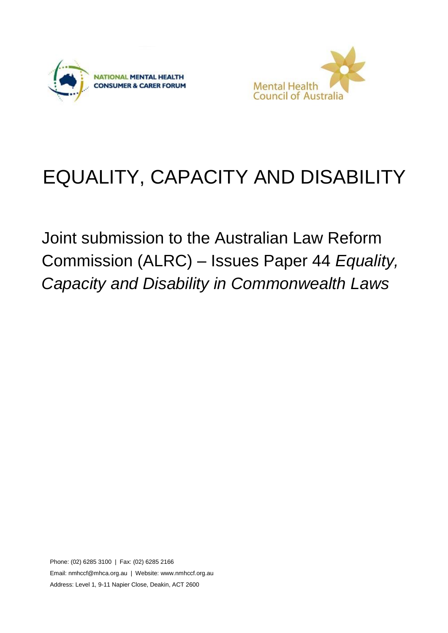



# EQUALITY, CAPACITY AND DISABILITY

Joint submission to the Australian Law Reform Commission (ALRC) – Issues Paper 44 *Equality, Capacity and Disability in Commonwealth Laws*

Phone: (02) 6285 3100 | Fax: (02) 6285 2166 Email[: nmhccf@mhca.org.au](mailto:nmhccf@mhca.org.au) | Website: www.nmhccf.org.au Address: Level 1, 9-11 Napier Close, Deakin, ACT 2600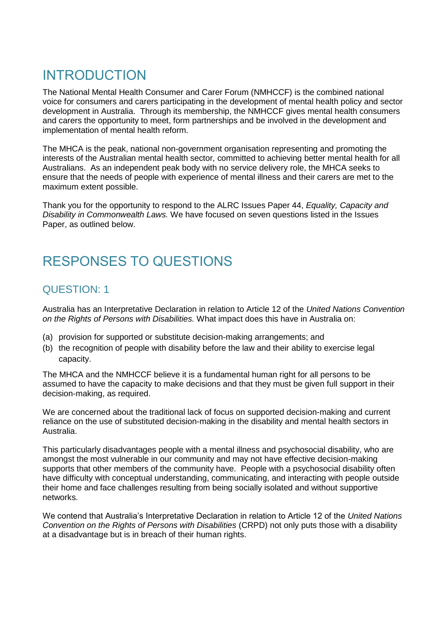# INTRODUCTION

The National Mental Health Consumer and Carer Forum (NMHCCF) is the combined national voice for consumers and carers participating in the development of mental health policy and sector development in Australia. Through its membership, the NMHCCF gives mental health consumers and carers the opportunity to meet, form partnerships and be involved in the development and implementation of mental health reform.

The MHCA is the peak, national non-government organisation representing and promoting the interests of the Australian mental health sector, committed to achieving better mental health for all Australians. As an independent peak body with no service delivery role, the MHCA seeks to ensure that the needs of people with experience of mental illness and their carers are met to the maximum extent possible.

Thank you for the opportunity to respond to the ALRC Issues Paper 44, *Equality, Capacity and Disability in Commonwealth Laws.* We have focused on seven questions listed in the Issues Paper, as outlined below.

# RESPONSES TO QUESTIONS

## QUESTION: 1

Australia has an Interpretative Declaration in relation to Article 12 of the *United Nations Convention on the Rights of Persons with Disabilities.* What impact does this have in Australia on:

- (a) provision for supported or substitute decision-making arrangements; and
- (b) the recognition of people with disability before the law and their ability to exercise legal capacity.

The MHCA and the NMHCCF believe it is a fundamental human right for all persons to be assumed to have the capacity to make decisions and that they must be given full support in their decision-making, as required.

We are concerned about the traditional lack of focus on supported decision-making and current reliance on the use of substituted decision-making in the disability and mental health sectors in Australia.

This particularly disadvantages people with a mental illness and psychosocial disability, who are amongst the most vulnerable in our community and may not have effective decision-making supports that other members of the community have. People with a psychosocial disability often have difficulty with conceptual understanding, communicating, and interacting with people outside their home and face challenges resulting from being socially isolated and without supportive networks.

We contend that Australia's Interpretative Declaration in relation to Article 12 of the *United Nations Convention on the Rights of Persons with Disabilities* (CRPD) not only puts those with a disability at a disadvantage but is in breach of their human rights.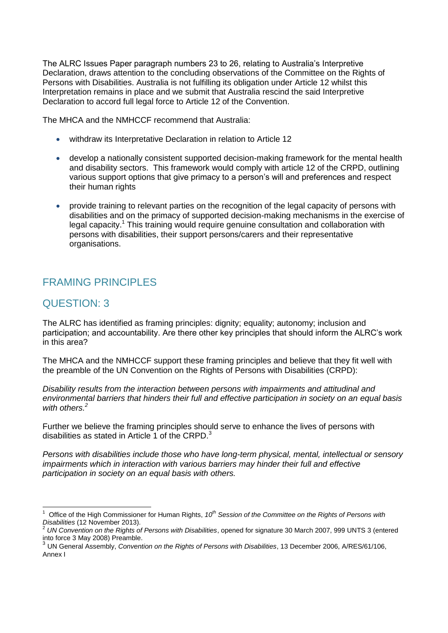The ALRC Issues Paper paragraph numbers 23 to 26, relating to Australia's Interpretive Declaration, draws attention to the concluding observations of the Committee on the Rights of Persons with Disabilities. Australia is not fulfilling its obligation under Article 12 whilst this Interpretation remains in place and we submit that Australia rescind the said Interpretive Declaration to accord full legal force to Article 12 of the Convention.

The MHCA and the NMHCCF recommend that Australia:

- withdraw its Interpretative Declaration in relation to Article 12
- develop a nationally consistent supported decision-making framework for the mental health and disability sectors. This framework would comply with article 12 of the CRPD, outlining various support options that give primacy to a person's will and preferences and respect their human rights
- provide training to relevant parties on the recognition of the legal capacity of persons with disabilities and on the primacy of supported decision-making mechanisms in the exercise of legal capacity.<sup>1</sup> This training would require genuine consultation and collaboration with persons with disabilities, their support persons/carers and their representative organisations.

# FRAMING PRINCIPLES

### QUESTION: 3

The ALRC has identified as framing principles: dignity; equality; autonomy; inclusion and participation; and accountability. Are there other key principles that should inform the ALRC's work in this area?

The MHCA and the NMHCCF support these framing principles and believe that they fit well with the preamble of the UN Convention on the Rights of Persons with Disabilities (CRPD):

*Disability results from the interaction between persons with impairments and attitudinal and environmental barriers that hinders their full and effective participation in society on an equal basis with others.<sup>2</sup>*

Further we believe the framing principles should serve to enhance the lives of persons with disabilities as stated in Article 1 of the CRPD.<sup>3</sup>

*Persons with disabilities include those who have long-term physical, mental, intellectual or sensory impairments which in interaction with various barriers may hinder their full and effective participation in society on an equal basis with others.*

<sup>-</sup>1 Office of the High Commissioner for Human Rights, *10th Session of the Committee on the Rights of Persons with Disabilities* (12 November 2013).

<sup>2</sup> *UN Convention on the Rights of Persons with Disabilities*, opened for signature 30 March 2007, 999 UNTS 3 (entered into force 3 May 2008) Preamble.

<sup>3</sup> UN General Assembly, *Convention on the Rights of Persons with Disabilities*, 13 December 2006, A/RES/61/106, Annex I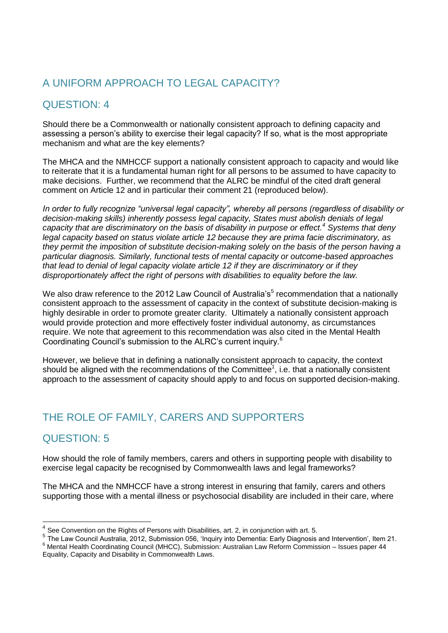# A UNIFORM APPROACH TO LEGAL CAPACITY?

# QUESTION: 4

Should there be a Commonwealth or nationally consistent approach to defining capacity and assessing a person's ability to exercise their legal capacity? If so, what is the most appropriate mechanism and what are the key elements?

The MHCA and the NMHCCF support a nationally consistent approach to capacity and would like to reiterate that it is a fundamental human right for all persons to be assumed to have capacity to make decisions. Further, we recommend that the ALRC be mindful of the cited draft general comment on Article 12 and in particular their comment 21 (reproduced below).

*In order to fully recognize "universal legal capacity", whereby all persons (regardless of disability or decision-making skills) inherently possess legal capacity, States must abolish denials of legal capacity that are discriminatory on the basis of disability in purpose or effect.<sup>4</sup> Systems that deny legal capacity based on status violate article 12 because they are prima facie discriminatory, as they permit the imposition of substitute decision-making solely on the basis of the person having a particular diagnosis. Similarly, functional tests of mental capacity or outcome-based approaches that lead to denial of legal capacity violate article 12 if they are discriminatory or if they disproportionately affect the right of persons with disabilities to equality before the law.*

We also draw reference to the 2012 Law Council of Australia's<sup>5</sup> recommendation that a nationally consistent approach to the assessment of capacity in the context of substitute decision-making is highly desirable in order to promote greater clarity. Ultimately a nationally consistent approach would provide protection and more effectively foster individual autonomy, as circumstances require. We note that agreement to this recommendation was also cited in the Mental Health Coordinating Council's submission to the ALRC's current inquiry.<sup>6</sup>

However, we believe that in defining a nationally consistent approach to capacity, the context should be aligned with the recommendations of the Committee<sup>1</sup>, i.e. that a nationally consistent approach to the assessment of capacity should apply to and focus on supported decision-making.

# THE ROLE OF FAMILY, CARERS AND SUPPORTERS

### QUESTION: 5

-

How should the role of family members, carers and others in supporting people with disability to exercise legal capacity be recognised by Commonwealth laws and legal frameworks?

The MHCA and the NMHCCF have a strong interest in ensuring that family, carers and others supporting those with a mental illness or psychosocial disability are included in their care, where

<sup>4</sup> See Convention on the Rights of Persons with Disabilities, art. 2, in conjunction with art. 5.

<sup>5</sup> The Law Council Australia, 2012, Submission 056, 'Inquiry into Dementia: Early Diagnosis and Intervention', Item 21.

<sup>6</sup> Mental Health Coordinating Council (MHCC), Submission: Australian Law Reform Commission – Issues paper 44 Equality, Capacity and Disability in Commonwealth Laws.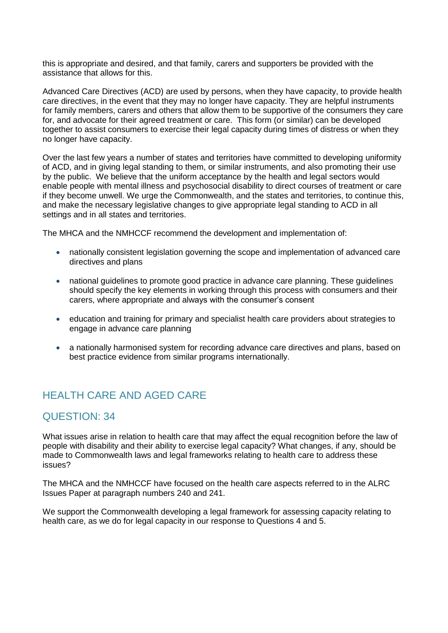this is appropriate and desired, and that family, carers and supporters be provided with the assistance that allows for this.

Advanced Care Directives (ACD) are used by persons, when they have capacity, to provide health care directives, in the event that they may no longer have capacity. They are helpful instruments for family members, carers and others that allow them to be supportive of the consumers they care for, and advocate for their agreed treatment or care. This form (or similar) can be developed together to assist consumers to exercise their legal capacity during times of distress or when they no longer have capacity.

Over the last few years a number of states and territories have committed to developing uniformity of ACD, and in giving legal standing to them, or similar instruments, and also promoting their use by the public. We believe that the uniform acceptance by the health and legal sectors would enable people with mental illness and psychosocial disability to direct courses of treatment or care if they become unwell. We urge the Commonwealth, and the states and territories, to continue this, and make the necessary legislative changes to give appropriate legal standing to ACD in all settings and in all states and territories.

The MHCA and the NMHCCF recommend the development and implementation of:

- nationally consistent legislation governing the scope and implementation of advanced care directives and plans
- national guidelines to promote good practice in advance care planning. These guidelines should specify the key elements in working through this process with consumers and their carers, where appropriate and always with the consumer's consent
- education and training for primary and specialist health care providers about strategies to engage in advance care planning
- a nationally harmonised system for recording advance care directives and plans, based on best practice evidence from similar programs internationally.

# HEALTH CARE AND AGED CARE

#### QUESTION: 34

What issues arise in relation to health care that may affect the equal recognition before the law of people with disability and their ability to exercise legal capacity? What changes, if any, should be made to Commonwealth laws and legal frameworks relating to health care to address these issues?

The MHCA and the NMHCCF have focused on the health care aspects referred to in the ALRC Issues Paper at paragraph numbers 240 and 241.

We support the Commonwealth developing a legal framework for assessing capacity relating to health care, as we do for legal capacity in our response to Questions 4 and 5.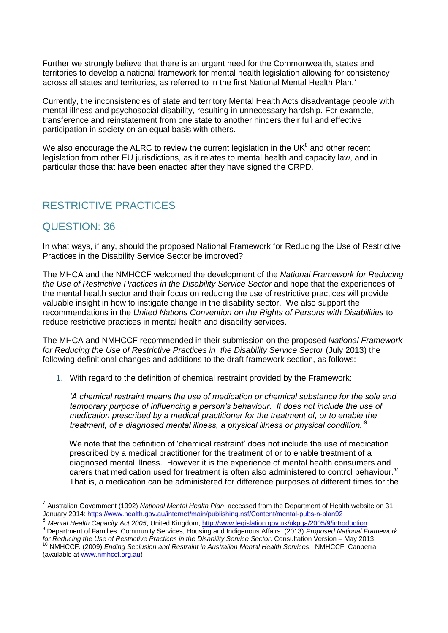Further we strongly believe that there is an urgent need for the Commonwealth, states and territories to develop a national framework for mental health legislation allowing for consistency across all states and territories, as referred to in the first National Mental Health Plan.<sup>7</sup>

Currently, the inconsistencies of state and territory Mental Health Acts disadvantage people with mental illness and psychosocial disability, resulting in unnecessary hardship. For example, transference and reinstatement from one state to another hinders their full and effective participation in society on an equal basis with others.

We also encourage the ALRC to review the current legislation in the UK $^8$  and other recent legislation from other EU jurisdictions, as it relates to mental health and capacity law, and in particular those that have been enacted after they have signed the CRPD.

### RESTRICTIVE PRACTICES

#### QUESTION: 36

-

In what ways, if any, should the proposed National Framework for Reducing the Use of Restrictive Practices in the Disability Service Sector be improved?

The MHCA and the NMHCCF welcomed the development of the *National Framework for Reducing the Use of Restrictive Practices in the Disability Service Sector* and hope that the experiences of the mental health sector and their focus on reducing the use of restrictive practices will provide valuable insight in how to instigate change in the disability sector. We also support the recommendations in the *United Nations Convention on the Rights of Persons with Disabilities* to reduce restrictive practices in mental health and disability services.

The MHCA and NMHCCF recommended in their submission on the proposed *National Framework for Reducing the Use of Restrictive Practices in the Disability Service Sector* (July 2013) the following definitional changes and additions to the draft framework section, as follows:

1. With regard to the definition of chemical restraint provided by the Framework:

*'A chemical restraint means the use of medication or chemical substance for the sole and temporary purpose of influencing a person's behaviour. It does not include the use of medication prescribed by a medical practitioner for the treatment of, or to enable the treatment, of a diagnosed mental illness, a physical illness or physical condition.'*<sup>9</sup>

We note that the definition of 'chemical restraint' does not include the use of medication prescribed by a medical practitioner for the treatment of or to enable treatment of a diagnosed mental illness. However it is the experience of mental health consumers and carers that medication used for treatment is often also administered to control behaviour.*<sup>10</sup>* That is, a medication can be administered for difference purposes at different times for the

<sup>7</sup> Australian Government (1992) *National Mental Health Plan*, accessed from the Department of Health website on 31 January 2014:<https://www.health.gov.au/internet/main/publishing.nsf/Content/mental-pubs-n-plan92>

<sup>8</sup> *Mental Health Capacity Act 2005*, United Kingdom,<http://www.legislation.gov.uk/ukpga/2005/9/introduction> <sup>9</sup> Department of Families, Community Services, Housing and Indigenous Affairs. (2013) *Proposed National Framework* 

*for Reducing the Use of Restrictive Practices in the Disability Service Sector*. Consultation Version – May 2013. <sup>10</sup> NMHCCF. (2009) *Ending Seclusion and Restraint in Australian Mental Health Services.* NMHCCF, Canberra (available a[t www.nmhccf.org.au\)](http://www.nmhccf.org.au/)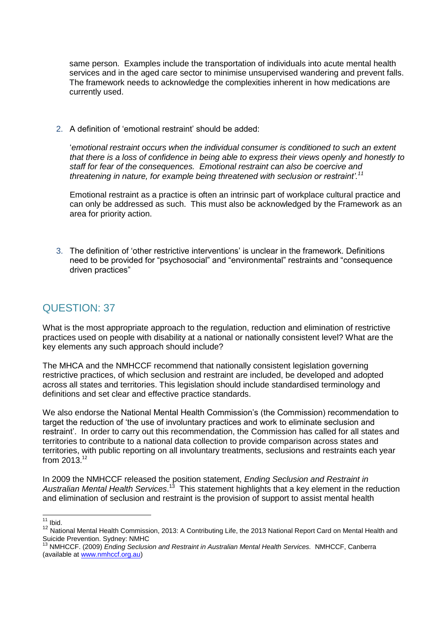same person. Examples include the transportation of individuals into acute mental health services and in the aged care sector to minimise unsupervised wandering and prevent falls. The framework needs to acknowledge the complexities inherent in how medications are currently used.

2. A definition of 'emotional restraint' should be added:

'*emotional restraint occurs when the individual consumer is conditioned to such an extent that there is a loss of confidence in being able to express their views openly and honestly to staff for fear of the consequences. Emotional restraint can also be coercive and threatening in nature, for example being threatened with seclusion or restraint'.<sup>11</sup>*

Emotional restraint as a practice is often an intrinsic part of workplace cultural practice and can only be addressed as such. This must also be acknowledged by the Framework as an area for priority action.

3. The definition of 'other restrictive interventions' is unclear in the framework. Definitions need to be provided for "psychosocial" and "environmental" restraints and "consequence driven practices"

### QUESTION: 37

What is the most appropriate approach to the regulation, reduction and elimination of restrictive practices used on people with disability at a national or nationally consistent level? What are the key elements any such approach should include?

The MHCA and the NMHCCF recommend that nationally consistent legislation governing restrictive practices, of which seclusion and restraint are included, be developed and adopted across all states and territories. This legislation should include standardised terminology and definitions and set clear and effective practice standards.

We also endorse the National Mental Health Commission's (the Commission) recommendation to target the reduction of 'the use of involuntary practices and work to eliminate seclusion and restraint'. In order to carry out this recommendation, the Commission has called for all states and territories to contribute to a national data collection to provide comparison across states and territories, with public reporting on all involuntary treatments, seclusions and restraints each year from 2013. 12

In 2009 the NMHCCF released the position statement, *Ending Seclusion and Restraint in*  Australian Mental Health Services.<sup>13</sup> This statement highlights that a key element in the reduction and elimination of seclusion and restraint is the provision of support to assist mental health

<sup>-</sup> $11$  Ibid.

<sup>12</sup> National Mental Health Commission, 2013: A Contributing Life, the 2013 National Report Card on Mental Health and Suicide Prevention. Sydney: NMHC

<sup>13</sup> NMHCCF. (2009) *Ending Seclusion and Restraint in Australian Mental Health Services.* NMHCCF, Canberra (available a[t www.nmhccf.org.au\)](http://www.nmhccf.org.au/)